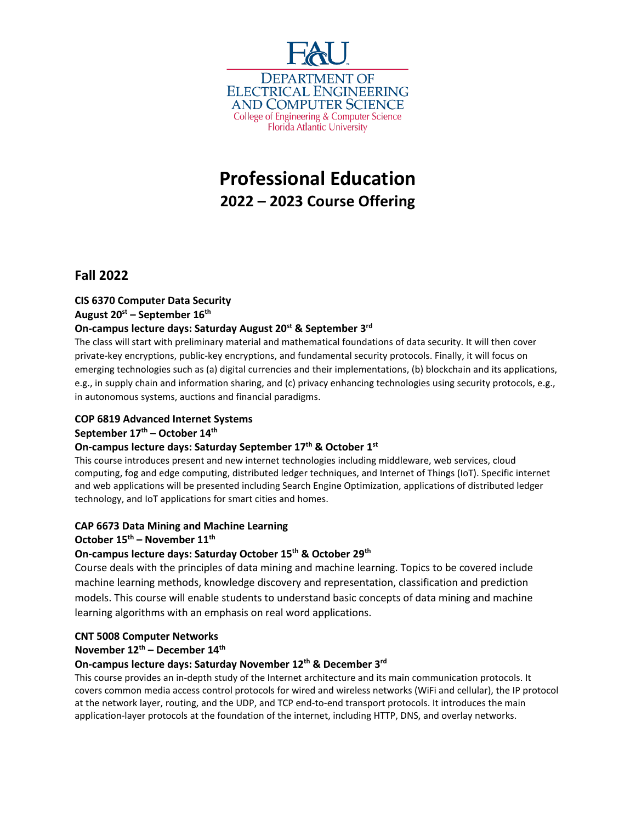

# **Professional Education 2022 – 2023 Course Offering**

# **Fall 2022**

# **CIS 6370 Computer Data Security**

#### **August 20st – September 16th**

# **On-campus lecture days: Saturday August 20<sup>st</sup> & September 3<sup>rd</sup>**

The class will start with preliminary material and mathematical foundations of data security. It will then cover private-key encryptions, public-key encryptions, and fundamental security protocols. Finally, it will focus on emerging technologies such as (a) digital currencies and their implementations, (b) blockchain and its applications, e.g., in supply chain and information sharing, and (c) privacy enhancing technologies using security protocols, e.g., in autonomous systems, auctions and financial paradigms.

## **COP 6819 Advanced Internet Systems**

#### **September 17th – October 14th**

## **On-campus lecture days: Saturday September 17th & October 1st**

This course introduces present and new internet technologies including middleware, web services, cloud computing, fog and edge computing, distributed ledger techniques, and Internet of Things (IoT). Specific internet and web applications will be presented including Search Engine Optimization, applications of distributed ledger technology, and IoT applications for smart cities and homes.

## **CAP 6673 Data Mining and Machine Learning**

#### **October 15th – November 11th**

## **On-campus lecture days: Saturday October 15th & October 29th**

Course deals with the principles of data mining and machine learning. Topics to be covered include machine learning methods, knowledge discovery and representation, classification and prediction models. This course will enable students to understand basic concepts of data mining and machine learning algorithms with an emphasis on real word applications.

#### **CNT 5008 Computer Networks**

#### **November 12th – December 14th**

#### **On-campus lecture days: Saturday November 12th & December 3rd**

This course provides an in-depth study of the Internet architecture and its main communication protocols. It covers common media access control protocols for wired and wireless networks (WiFi and cellular), the IP protocol at the network layer, routing, and the UDP, and TCP end-to-end transport protocols. It introduces the main application-layer protocols at the foundation of the internet, including HTTP, DNS, and overlay networks.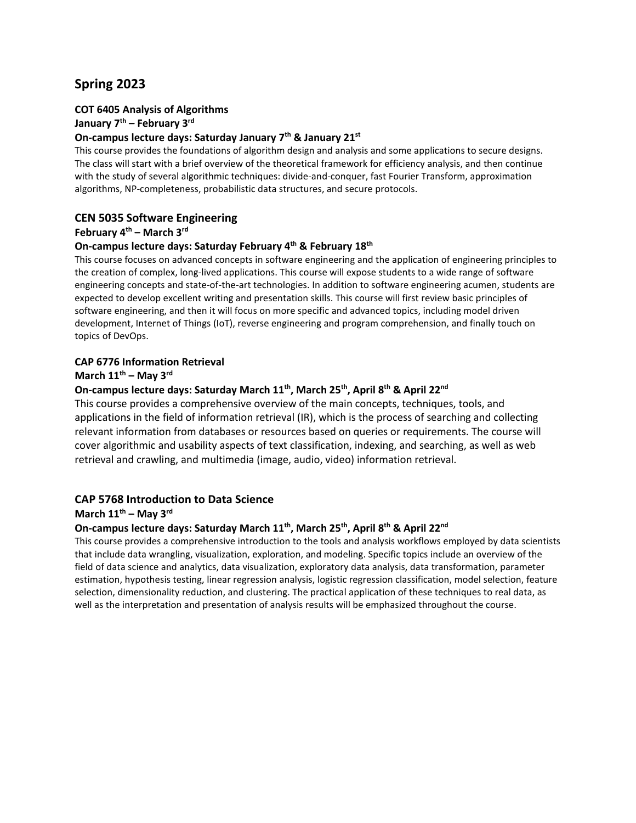# **Spring 2023**

# **COT 6405 Analysis of Algorithms**

#### **January 7th – February 3rd**

#### **On-campus lecture days: Saturday January 7th & January 21st**

This course provides the foundations of algorithm design and analysis and some applications to secure designs. The class will start with a brief overview of the theoretical framework for efficiency analysis, and then continue with the study of several algorithmic techniques: divide-and-conquer, fast Fourier Transform, approximation algorithms, NP-completeness, probabilistic data structures, and secure protocols.

#### **CEN 5035 Software Engineering**

#### **February 4th – March 3rd**

#### **On-campus lecture days: Saturday February 4th & February 18th**

This course focuses on advanced concepts in software engineering and the application of engineering principles to the creation of complex, long-lived applications. This course will expose students to a wide range of software engineering concepts and state-of-the-art technologies. In addition to software engineering acumen, students are expected to develop excellent writing and presentation skills. This course will first review basic principles of software engineering, and then it will focus on more specific and advanced topics, including model driven development, Internet of Things (IoT), reverse engineering and program comprehension, and finally touch on topics of DevOps.

#### **CAP 6776 Information Retrieval**

#### **March 11th – May 3rd**

#### **On-campus lecture days: Saturday March 11th, March 25th, April 8th & April 22nd**

This course provides a comprehensive overview of the main concepts, techniques, tools, and applications in the field of information retrieval (IR), which is the process of searching and collecting relevant information from databases or resources based on queries or requirements. The course will cover algorithmic and usability aspects of text classification, indexing, and searching, as well as web retrieval and crawling, and multimedia (image, audio, video) information retrieval.

#### **CAP 5768 Introduction to Data Science**

#### **March 11th – May 3rd**

#### **On-campus lecture days: Saturday March 11th, March 25th, April 8th & April 22nd**

This course provides a comprehensive introduction to the tools and analysis workflows employed by data scientists that include data wrangling, visualization, exploration, and modeling. Specific topics include an overview of the field of data science and analytics, data visualization, exploratory data analysis, data transformation, parameter estimation, hypothesis testing, linear regression analysis, logistic regression classification, model selection, feature selection, dimensionality reduction, and clustering. The practical application of these techniques to real data, as well as the interpretation and presentation of analysis results will be emphasized throughout the course.